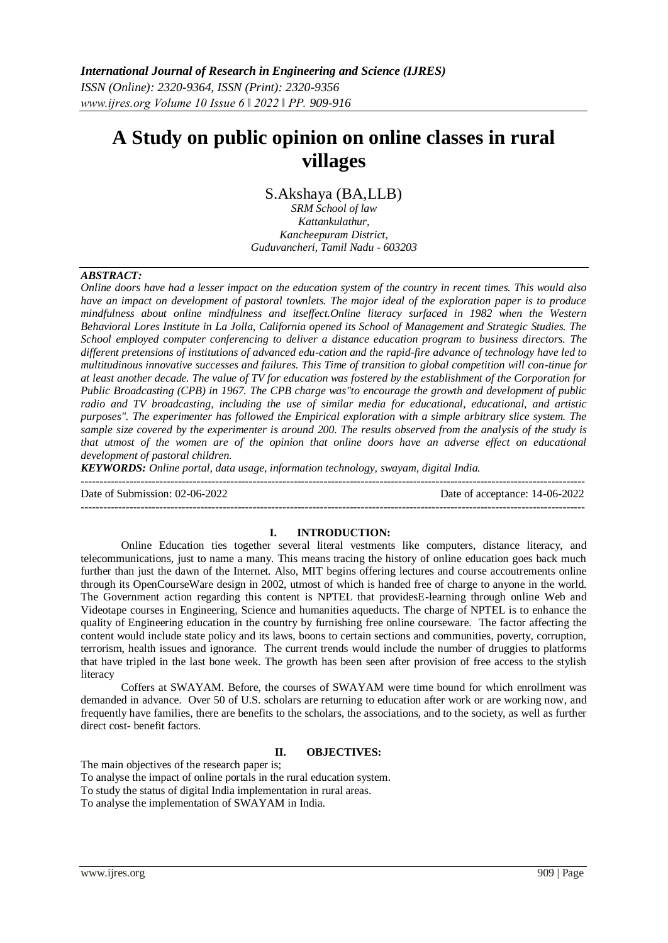# **A Study on public opinion on online classes in rural villages**

S.Akshaya (BA,LLB)

*SRM School of law Kattankulathur, Kancheepuram District, Guduvancheri, Tamil Nadu - 603203*

## *ABSTRACT:*

*Online doors have had a lesser impact on the education system of the country in recent times. This would also have an impact on development of pastoral townlets. The major ideal of the exploration paper is to produce mindfulness about online mindfulness and itseffect.Online literacy surfaced in 1982 when the Western Behavioral Lores Institute in La Jolla, California opened its School of Management and Strategic Studies. The School employed computer conferencing to deliver a distance education program to business directors. The different pretensions of institutions of advanced edu-cation and the rapid-fire advance of technology have led to multitudinous innovative successes and failures. This Time of transition to global competition will con-tinue for at least another decade. The value of TV for education was fostered by the establishment of the Corporation for Public Broadcasting (CPB) in 1967. The CPB charge was"to encourage the growth and development of public radio and TV broadcasting, including the use of similar media for educational, educational, and artistic purposes". The experimenter has followed the Empirical exploration with a simple arbitrary slice system. The sample size covered by the experimenter is around 200. The results observed from the analysis of the study is that utmost of the women are of the opinion that online doors have an adverse effect on educational development of pastoral children.*

*KEYWORDS: Online portal, data usage, information technology, swayam, digital India.* 

---------------------------------------------------------------------------------------------------------------------------------------

Date of Submission: 02-06-2022 Date of acceptance: 14-06-2022

**I. INTRODUCTION:**

---------------------------------------------------------------------------------------------------------------------------------------

Online Education ties together several literal vestments like computers, distance literacy, and telecommunications, just to name a many. This means tracing the history of online education goes back much further than just the dawn of the Internet. Also, MIT begins offering lectures and course accoutrements online through its OpenCourseWare design in 2002, utmost of which is handed free of charge to anyone in the world. The Government action regarding this content is NPTEL that providesE-learning through online Web and Videotape courses in Engineering, Science and humanities aqueducts. The charge of NPTEL is to enhance the quality of Engineering education in the country by furnishing free online courseware. The factor affecting the content would include state policy and its laws, boons to certain sections and communities, poverty, corruption, terrorism, health issues and ignorance. The current trends would include the number of druggies to platforms that have tripled in the last bone week. The growth has been seen after provision of free access to the stylish literacy

Coffers at SWAYAM. Before, the courses of SWAYAM were time bound for which enrollment was demanded in advance. Over 50 of U.S. scholars are returning to education after work or are working now, and frequently have families, there are benefits to the scholars, the associations, and to the society, as well as further direct cost- benefit factors.

## **II. OBJECTIVES:**

The main objectives of the research paper is;

To analyse the impact of online portals in the rural education system.

To study the status of digital India implementation in rural areas.

To analyse the implementation of SWAYAM in India.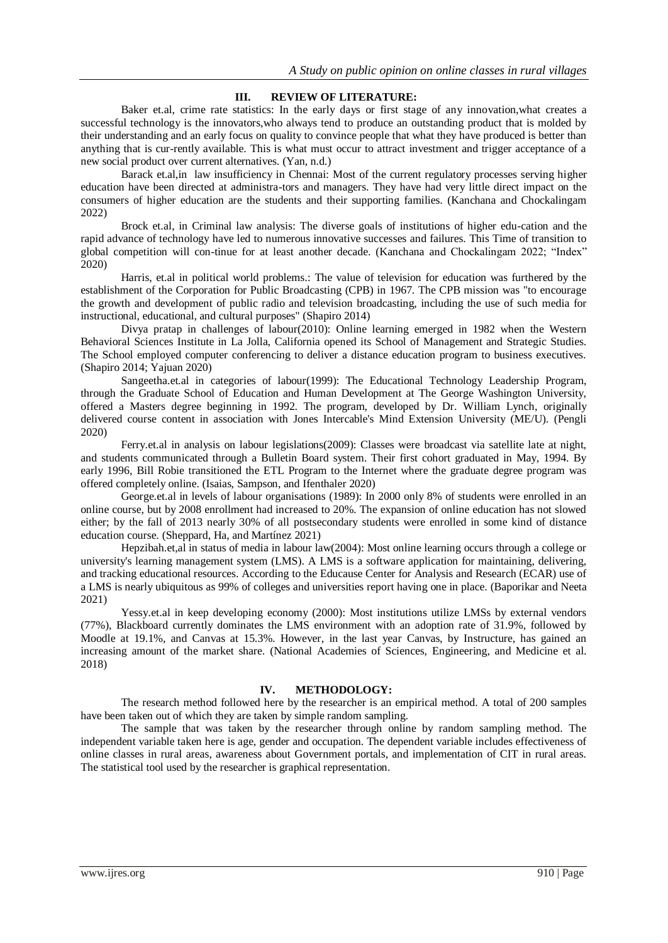## **III. REVIEW OF LITERATURE:**

Baker et.al, crime rate statistics: In the early days or first stage of any innovation,what creates a successful technology is the innovators,who always tend to produce an outstanding product that is molded by their understanding and an early focus on quality to convince people that what they have produced is better than anything that is cur-rently available. This is what must occur to attract investment and trigger acceptance of a new social product over current alternatives. (Yan, n.d.)

Barack et.al,in law insufficiency in Chennai: Most of the current regulatory processes serving higher education have been directed at administra-tors and managers. They have had very little direct impact on the consumers of higher education are the students and their supporting families. (Kanchana and Chockalingam 2022)

Brock et.al, in Criminal law analysis: The diverse goals of institutions of higher edu-cation and the rapid advance of technology have led to numerous innovative successes and failures. This Time of transition to global competition will con-tinue for at least another decade. (Kanchana and Chockalingam 2022; "Index" 2020)

Harris, et.al in political world problems.: The value of television for education was furthered by the establishment of the Corporation for Public Broadcasting (CPB) in 1967. The CPB mission was "to encourage the growth and development of public radio and television broadcasting, including the use of such media for instructional, educational, and cultural purposes" (Shapiro 2014)

Divya pratap in challenges of labour(2010): Online learning emerged in 1982 when the Western Behavioral Sciences Institute in La Jolla, California opened its School of Management and Strategic Studies. The School employed computer conferencing to deliver a distance education program to business executives. (Shapiro 2014; Yajuan 2020)

Sangeetha.et.al in categories of labour(1999): The Educational Technology Leadership Program, through the Graduate School of Education and Human Development at The George Washington University, offered a Masters degree beginning in 1992. The program, developed by Dr. William Lynch, originally delivered course content in association with Jones Intercable's Mind Extension University (ME/U). (Pengli 2020)

Ferry.et.al in analysis on labour legislations(2009): Classes were broadcast via satellite late at night, and students communicated through a Bulletin Board system. Their first cohort graduated in May, 1994. By early 1996, Bill Robie transitioned the ETL Program to the Internet where the graduate degree program was offered completely online. (Isaias, Sampson, and Ifenthaler 2020)

George.et.al in levels of labour organisations (1989): In 2000 only 8% of students were enrolled in an online course, but by 2008 enrollment had increased to 20%. The expansion of online education has not slowed either; by the fall of 2013 nearly 30% of all postsecondary students were enrolled in some kind of distance education course. (Sheppard, Ha, and Martínez 2021)

Hepzibah.et,al in status of media in labour law(2004): Most online learning occurs through a college or university's learning management system (LMS). A LMS is a software application for maintaining, delivering, and tracking educational resources. According to the Educause Center for Analysis and Research (ECAR) use of a LMS is nearly ubiquitous as 99% of colleges and universities report having one in place. (Baporikar and Neeta 2021)

Yessy.et.al in keep developing economy (2000): Most institutions utilize LMSs by external vendors (77%), Blackboard currently dominates the LMS environment with an adoption rate of 31.9%, followed by Moodle at 19.1%, and Canvas at 15.3%. However, in the last year Canvas, by Instructure, has gained an increasing amount of the market share. (National Academies of Sciences, Engineering, and Medicine et al. 2018)

#### **IV. METHODOLOGY:**

The research method followed here by the researcher is an empirical method. A total of 200 samples have been taken out of which they are taken by simple random sampling.

The sample that was taken by the researcher through online by random sampling method. The independent variable taken here is age, gender and occupation. The dependent variable includes effectiveness of online classes in rural areas, awareness about Government portals, and implementation of CIT in rural areas. The statistical tool used by the researcher is graphical representation.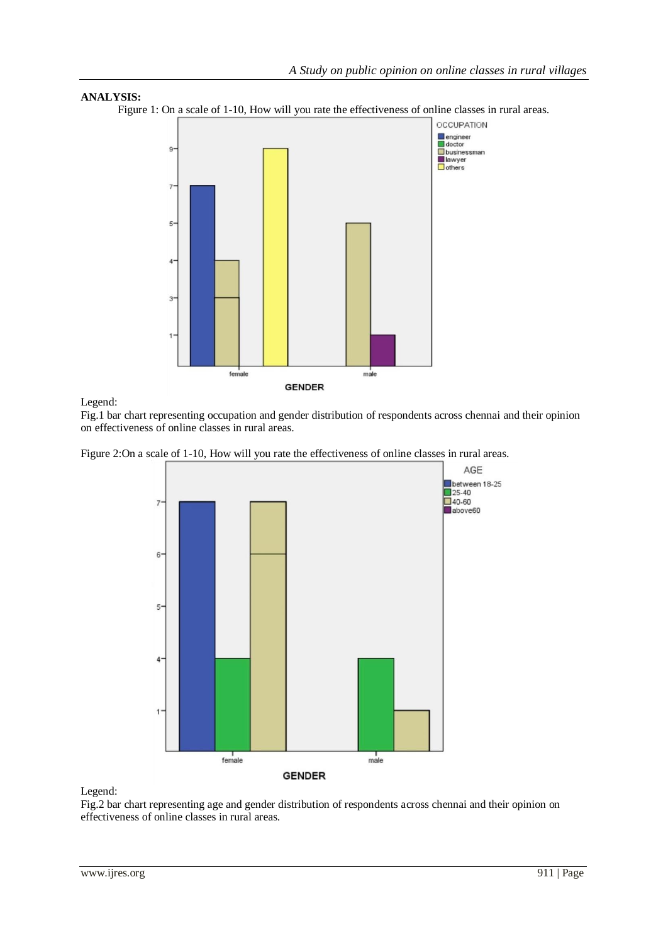

Figure 1: On a scale of 1-10, How will you rate the effectiveness of online classes in rural areas.



Legend:

Fig.1 bar chart representing occupation and gender distribution of respondents across chennai and their opinion on effectiveness of online classes in rural areas.

Figure 2:On a scale of 1-10, How will you rate the effectiveness of online classes in rural areas.



Legend:

Fig.2 bar chart representing age and gender distribution of respondents across chennai and their opinion on effectiveness of online classes in rural areas.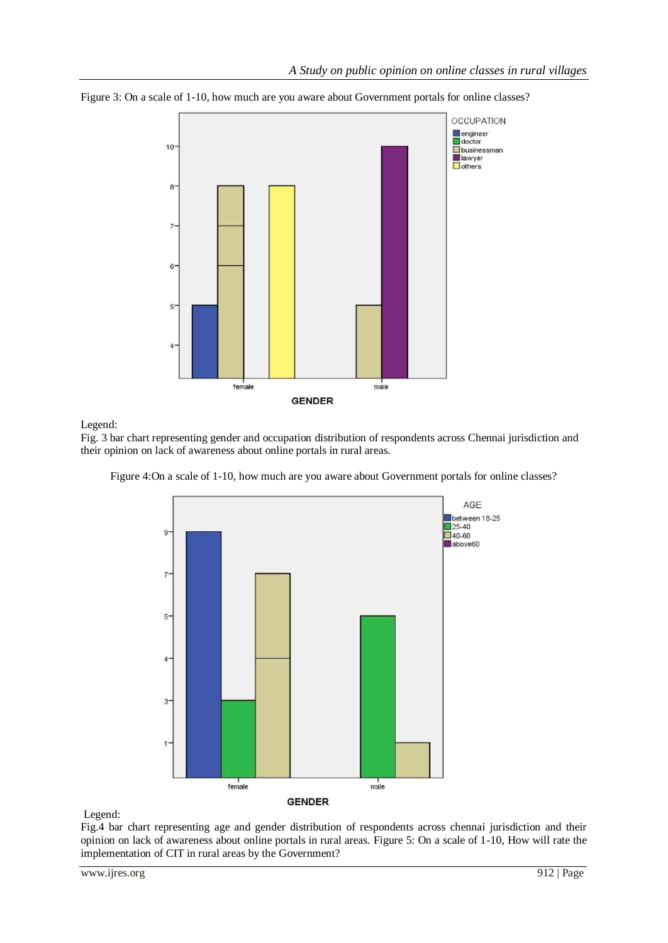

Figure 3: On a scale of 1-10, how much are you aware about Government portals for online classes?

Legend:

Fig. 3 bar chart representing gender and occupation distribution of respondents across Chennai jurisdiction and their opinion on lack of awareness about online portals in rural areas.



Figure 4:On a scale of 1-10, how much are you aware about Government portals for online classes?

Legend:

Fig.4 bar chart representing age and gender distribution of respondents across chennai jurisdiction and their opinion on lack of awareness about online portals in rural areas. Figure 5: On a scale of 1-10, How will rate the implementation of CIT in rural areas by the Government?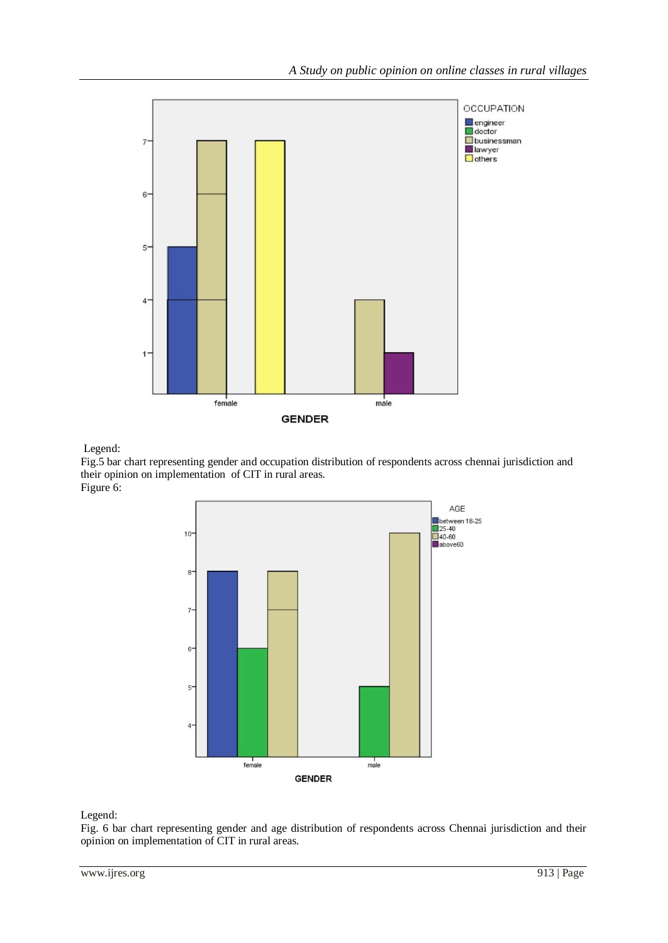

Legend:

Fig.5 bar chart representing gender and occupation distribution of respondents across chennai jurisdiction and their opinion on implementation of CIT in rural areas. Figure 6:



Legend:

Fig. 6 bar chart representing gender and age distribution of respondents across Chennai jurisdiction and their opinion on implementation of CIT in rural areas.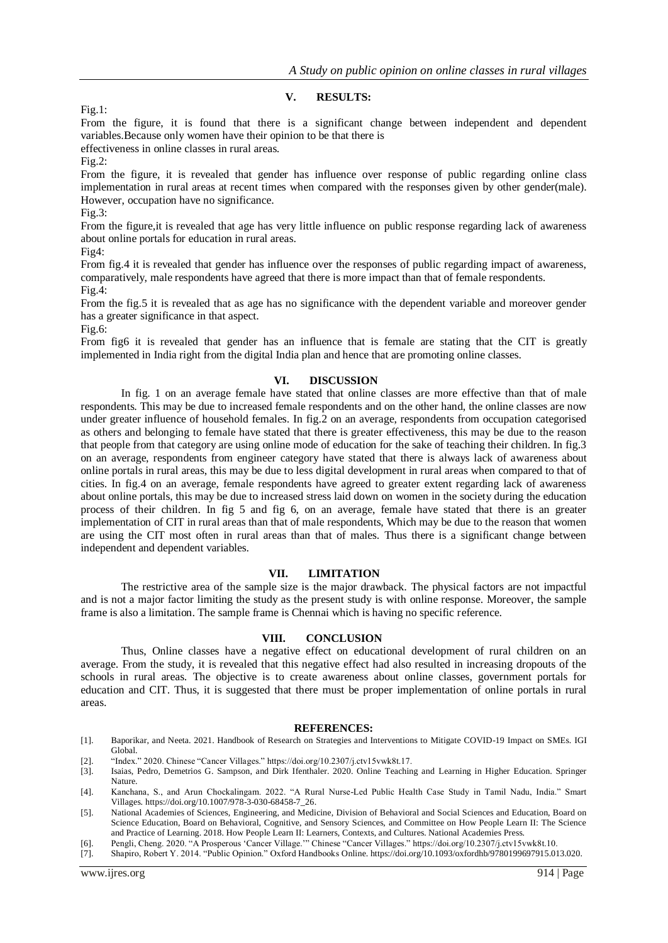## **V. RESULTS:**

Fig.1:

From the figure, it is found that there is a significant change between independent and dependent variables.Because only women have their opinion to be that there is

effectiveness in online classes in rural areas.

Fig.2:

From the figure, it is revealed that gender has influence over response of public regarding online class implementation in rural areas at recent times when compared with the responses given by other gender(male). However, occupation have no significance.

Fig.3:

From the figure,it is revealed that age has very little influence on public response regarding lack of awareness about online portals for education in rural areas.

Fig4:

From fig.4 it is revealed that gender has influence over the responses of public regarding impact of awareness, comparatively, male respondents have agreed that there is more impact than that of female respondents. Fig.4:

From the fig.5 it is revealed that as age has no significance with the dependent variable and moreover gender has a greater significance in that aspect.

Fig.6:

From fig6 it is revealed that gender has an influence that is female are stating that the CIT is greatly implemented in India right from the digital India plan and hence that are promoting online classes.

#### **VI. DISCUSSION**

In fig. 1 on an average female have stated that online classes are more effective than that of male respondents. This may be due to increased female respondents and on the other hand, the online classes are now under greater influence of household females. In fig.2 on an average, respondents from occupation categorised as others and belonging to female have stated that there is greater effectiveness, this may be due to the reason that people from that category are using online mode of education for the sake of teaching their children. In fig.3 on an average, respondents from engineer category have stated that there is always lack of awareness about online portals in rural areas, this may be due to less digital development in rural areas when compared to that of cities. In fig.4 on an average, female respondents have agreed to greater extent regarding lack of awareness about online portals, this may be due to increased stress laid down on women in the society during the education process of their children. In fig 5 and fig 6, on an average, female have stated that there is an greater implementation of CIT in rural areas than that of male respondents, Which may be due to the reason that women are using the CIT most often in rural areas than that of males. Thus there is a significant change between independent and dependent variables.

## **VII. LIMITATION**

The restrictive area of the sample size is the major drawback. The physical factors are not impactful and is not a major factor limiting the study as the present study is with online response. Moreover, the sample frame is also a limitation. The sample frame is Chennai which is having no specific reference.

#### **VIII. CONCLUSION**

Thus, Online classes have a negative effect on educational development of rural children on an average. From the study, it is revealed that this negative effect had also resulted in increasing dropouts of the schools in rural areas. The objective is to create awareness about online classes, government portals for education and CIT. Thus, it is suggested that there must be proper implementation of online portals in rural areas.

#### **REFERENCES:**

- [1]. Baporikar, and Neeta. 2021. Handbook of Research on Strategies and Interventions to Mitigate COVID-19 Impact on SMEs. IGI Global.
- [2]. "Index." 2020. Chinese "Cancer Villages." https://doi.org/10.2307/j.ctv15vwk8t.17.
- [3]. Isaias, Pedro, Demetrios G. Sampson, and Dirk Ifenthaler. 2020. Online Teaching and Learning in Higher Education. Springer Nature.
- [4]. Kanchana, S., and Arun Chockalingam. 2022. "A Rural Nurse-Led Public Health Case Study in Tamil Nadu, India." Smart Villages. https://doi.org/10.1007/978-3-030-68458-7\_26.
- [5]. National Academies of Sciences, Engineering, and Medicine, Division of Behavioral and Social Sciences and Education, Board on Science Education, Board on Behavioral, Cognitive, and Sensory Sciences, and Committee on How People Learn II: The Science and Practice of Learning. 2018. How People Learn II: Learners, Contexts, and Cultures. National Academies Press.
- [6]. Pengli, Cheng. 2020. "A Prosperous 'Cancer Village.'" Chinese "Cancer Villages." https://doi.org/10.2307/j.ctv15vwk8t.10.
- [7]. Shapiro, Robert Y. 2014. "Public Opinion." Oxford Handbooks Online. https://doi.org/10.1093/oxfordhb/9780199697915.013.020.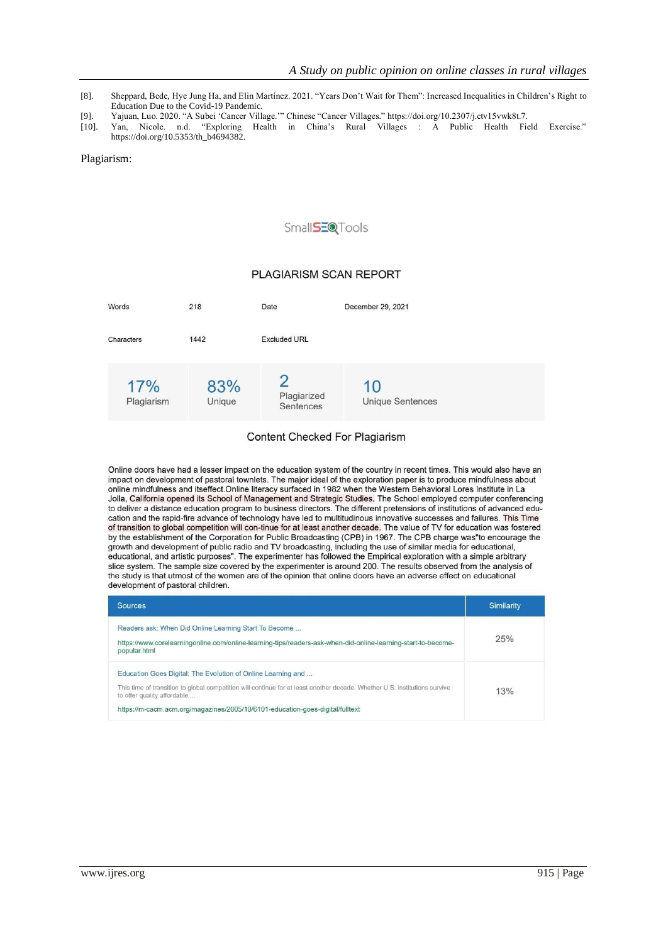- [8]. Sheppard, Bede, Hye Jung Ha, and Elin Martínez. 2021. "Years Don't Wait for Them": Increased Inequalities in Children's Right to Education Due to the Covid-19 Pandemic.
- [9]. Yajuan, Luo. 2020. "A Subei 'Cancer Village.'" Chinese "Cancer Villages." https://doi.org/10.2307/j.ctv15vwk8t.7.
- [10]. Yan, Nicole. n.d. "Exploring Health in China's Rural Villages : A Public Health Field Exercise." https://doi.org/10.5353/th\_b4694382.

#### Plagiarism:

# Small**SEQ**Tools

## PLAGIARISM SCAN REPORT



## Content Checked For Plagiarism

Online doors have had a lesser impact on the education system of the country in recent times. This would also have an impact on development of pastoral townlets. The major ideal of the exploration paper is to produce mindfulness about online mindfulness and itseffect. Online literacy surfaced in 1982 when the Western Behavioral Lores Institute in La Jolla, California opened its School of Management and Strategic Studies. The School employed computer conferencing to deliver a distance education program to business directors. The different pretensions of institutions of advanced education and the rapid-fire advance of technology have led to multitudinous innovative successes and failures. This Time of transition to global competition will con-tinue for at least another decade. The value of TV for education was fostered by the establishment of the Corporation for Public Broadcasting (CPB) in 1967. The CPB charge was"to encourage the growth and development of public radio and TV broadcasting, including the use of similar media for educational, educational, and artistic purposes". The experimenter has followed the Empirical exploration with a simple arbitrary slice system. The sample size covered by the experimenter is around 200. The results observed from the analysis of the study is that utmost of the women are of the opinion that online doors have an adverse effect on educational development of pastoral children.

| <b>Sources</b>                                                                                                                                                                                                                                                                                             | Similarity |
|------------------------------------------------------------------------------------------------------------------------------------------------------------------------------------------------------------------------------------------------------------------------------------------------------------|------------|
| Readers ask: When Did Online Learning Start To Become<br>https://www.corelearningonline.com/online-learning-tips/readers-ask-when-did-online-learning-start-to-become-<br>popular.html                                                                                                                     | 25%        |
| Education Goes Digital: The Evolution of Online Learning and<br>This time of transition to global competition will continue for at least another decade. Whether U.S. institutions survive<br>to offer quality affordable<br>https://m-cacm.acm.org/magazines/2005/10/6101-education-goes-digital/fulltext | 13%        |